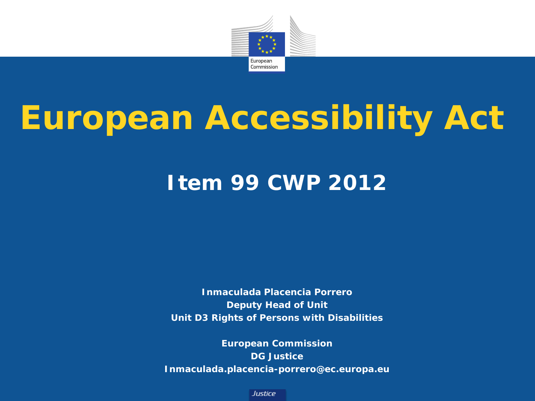

# **European Accessibility Act**

### **Item 99 CWP 2012**

**Inmaculada Placencia Porrero Deputy Head of Unit Unit D3 Rights of Persons with Disabilities**

**European Commission DG Justice Inmaculada.placencia-porrero@ec.europa.eu**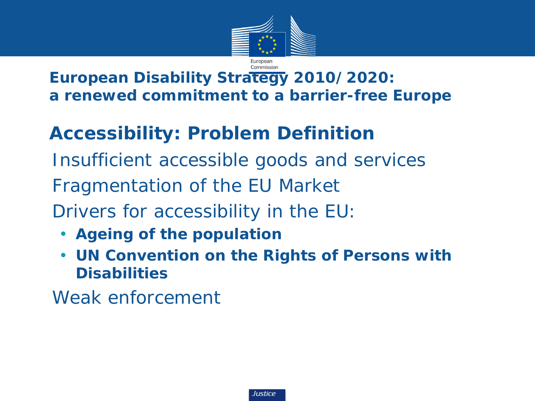

#### **European Disability Strategy 2010/2020: a renewed commitment to a barrier-free Europe**

### **Accessibility: Problem Definition**

• *Insufficient accessible goods and services*  • *Fragmentation of the EU Market*  • *Drivers for accessibility in the EU:*

- **Ageing of the population**
- **UN Convention on the Rights of Persons with Disabilities**

• *Weak enforcement*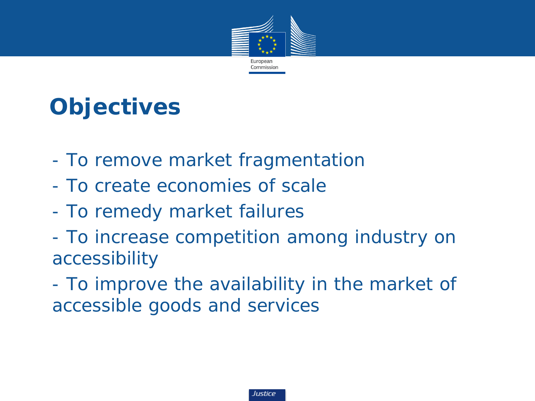

# **Objectives**

- *- To remove market fragmentation*
- *- To create economies of scale*
- *- To remedy market failures*
- *- To increase competition among industry on accessibility*
- *- To improve the availability in the market of accessible goods and services*

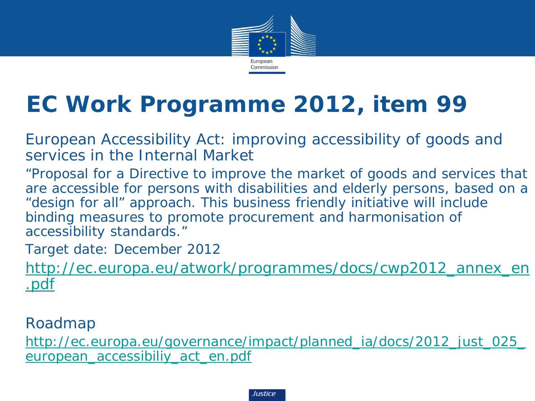

## **EC Work Programme 2012, item 99**

• European Accessibility Act: improving accessibility of goods and services in the Internal Market

• *"Proposal for a Directive to improve the market of goods and services that are accessible for persons with disabilities and elderly persons, based on a "design for all" approach. This business friendly initiative will include binding measures to promote procurement and harmonisation of accessibility standards."*

• *Target date: December 2012*

• *[http://ec.europa.eu/atwork/programmes/docs/cwp2012\\_annex\\_en](http://ec.europa.eu/atwork/programmes/docs/cwp2012_annex_en.pdf) [.pdf](http://ec.europa.eu/atwork/programmes/docs/cwp2012_annex_en.pdf)*

• *Roadmap*

• *[http://ec.europa.eu/governance/impact/planned\\_ia/docs/2012\\_just\\_025\\_](http://ec.europa.eu/governance/impact/planned_ia/docs/2012_just_025_european_accessibiliy_act_en.pdf) [european\\_accessibiliy\\_act\\_en.pdf](http://ec.europa.eu/governance/impact/planned_ia/docs/2012_just_025_european_accessibiliy_act_en.pdf)*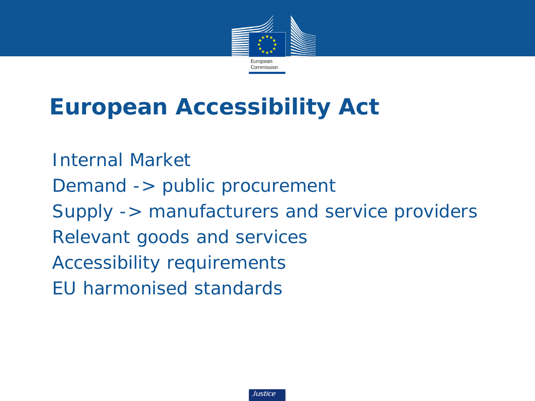

## **European Accessibility Act**

• *Internal Market* • *Demand -> public procurement* • *Supply -> manufacturers and service providers* • *Relevant goods and services* • *Accessibility requirements* • *EU harmonised standards*

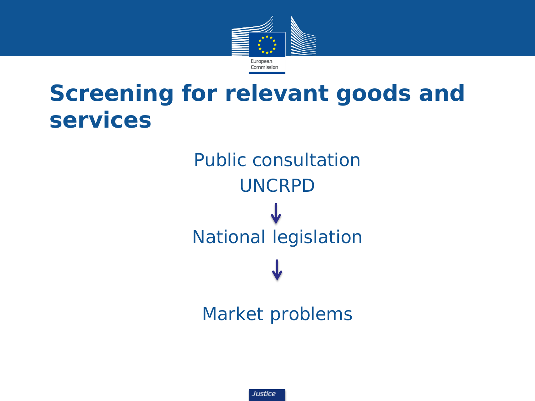

### **Screening for relevant goods and services**

• *Public consultation* • *UNCRPD* • *National legislation*

• *Market problems*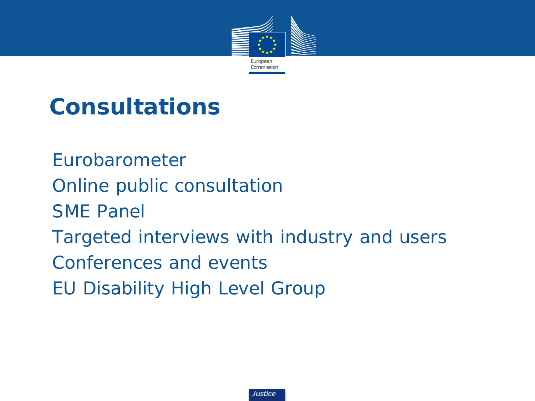

## **Consultations**

• *Eurobarometer* • *Online public consultation* • *SME Panel*  • *Targeted interviews with industry and users* • *Conferences and events* • *EU Disability High Level Group* 

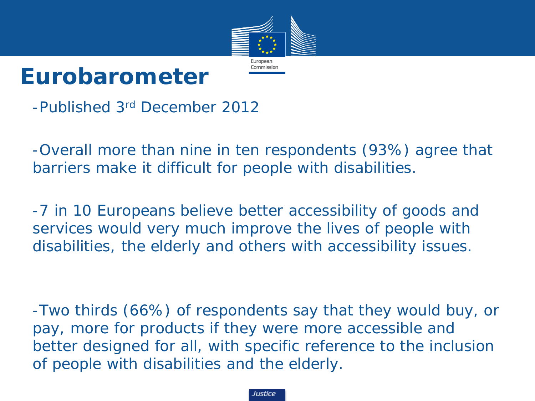

### **Eurobarometer**

-Published 3rd December 2012

-Overall more than nine in ten respondents (93%) agree that barriers make it difficult for people with disabilities.

-7 in 10 Europeans believe better accessibility of goods and services would very much improve the lives of people with disabilities, the elderly and others with accessibility issues.

-Two thirds (66%) of respondents say that they would buy, or pay, more for products if they were more accessible and better designed for all, with specific reference to the inclusion of people with disabilities and the elderly.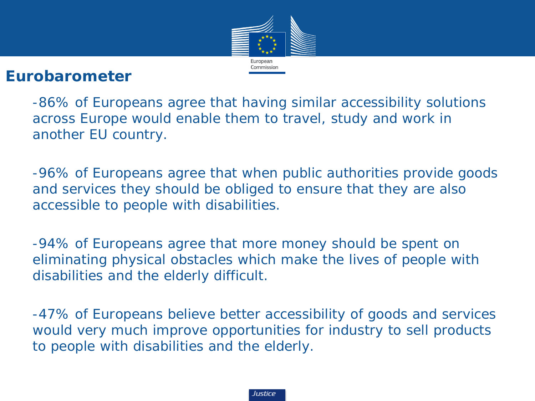

#### **Eurobarometer**

-86% of Europeans agree that having similar accessibility solutions across Europe would enable them to travel, study and work in another EU country.

-96% of Europeans agree that when public authorities provide goods and services they should be obliged to ensure that they are also accessible to people with disabilities.

-94% of Europeans agree that more money should be spent on eliminating physical obstacles which make the lives of people with disabilities and the elderly difficult.

-47% of Europeans believe better accessibility of goods and services would very much improve opportunities for industry to sell products to people with disabilities and the elderly.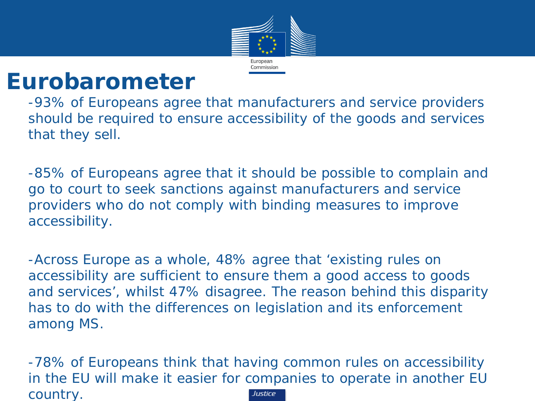

### **Eurobarometer**

-93% of Europeans agree that manufacturers and service providers should be required to ensure accessibility of the goods and services that they sell.

-85% of Europeans agree that it should be possible to complain and go to court to seek sanctions against manufacturers and service providers who do not comply with binding measures to improve accessibility.

-Across Europe as a whole, 48% agree that 'existing rules on accessibility are sufficient to ensure them a good access to goods and services', whilst 47% disagree. The reason behind this disparity has to do with the differences on legislation and its enforcement among MS.

-78% of Europeans think that having common rules on accessibility in the EU will make it easier for companies to operate in another EU country.Justice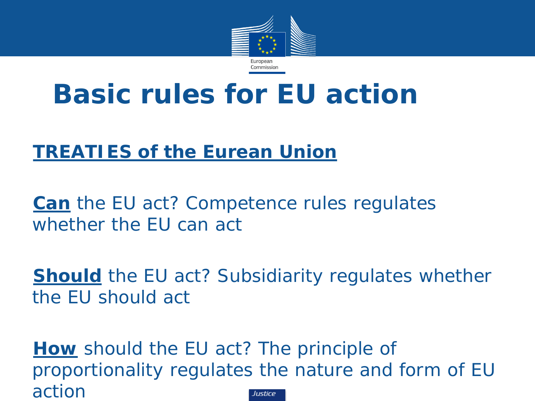

# **Basic rules for EU action**

#### *TREATIES of the Eurean Union*

*Can the EU act? Competence rules regulates whether the EU can act* 

*Should the EU act? Subsidiarity regulates whether the EU should act*

*How should the EU act? The principle of proportionality regulates the nature and form of EU action*lustice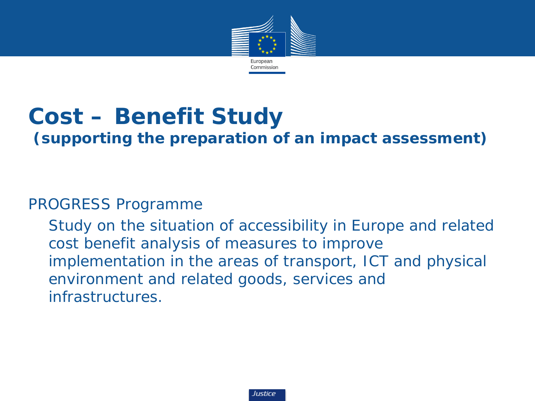

# **Cost – Benefit Study**

#### **(supporting the preparation of an impact assessment)**

#### *PROGRESS Programme*

*Study on the situation of accessibility in Europe and related cost benefit analysis of measures to improve implementation in the areas of transport, ICT and physical environment and related goods, services and infrastructures.*

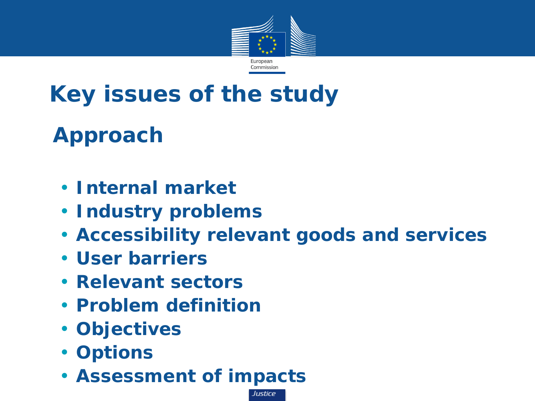

# **Key issues of the study**

## • **Approach**

- **Internal market**
- **Industry problems**
- **Accessibility relevant goods and services**

- **User barriers**
- **Relevant sectors**
- **Problem definition**
- **Objectives**
- **Options**
- **Assessment of impacts**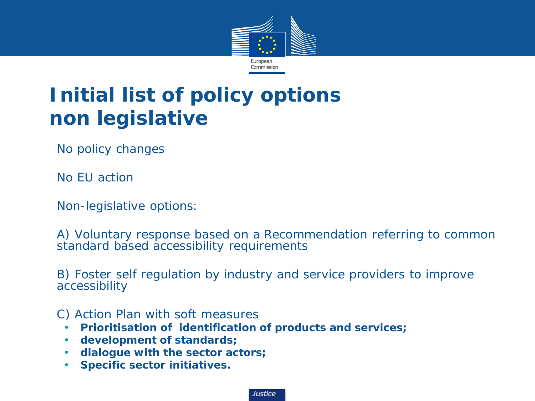

### **Initial list of policy options non legislative**

• *No policy changes*

• *No EU action* 

• *Non-legislative options:* 

• *A) Voluntary response based on a Recommendation referring to common standard based accessibility requirements*

• *B) Foster self regulation by industry and service providers to improve accessibility*

#### • *C) Action Plan with soft measures*

- **Prioritisation of identification of products and services;**
- **development of standards;**
- **dialogue with the sector actors;**
- **Specific sector initiatives.**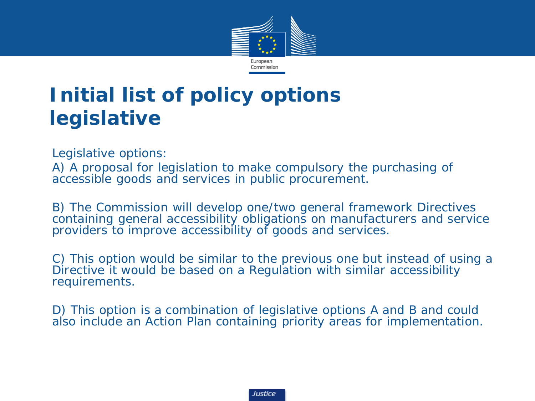

### **Initial list of policy options legislative**

• *Legislative options:* 

• *A) A proposal for legislation to make compulsory the purchasing of accessible goods and services in public procurement.* 

• *B) The Commission will develop one/two general framework Directives containing general accessibility obligations on manufacturers and service providers to improve accessibility of goods and services.*

• *C) This option would be similar to the previous one but instead of using a Directive it would be based on a Regulation with similar accessibility requirements.*

• *D) This option is a combination of legislative options A and B and could also include an Action Plan containing priority areas for implementation.*

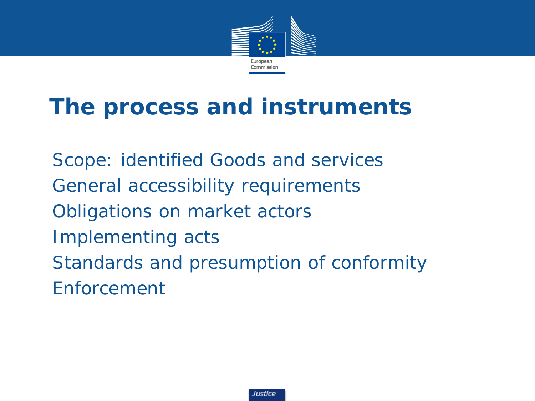

## **The process and instruments**

• *Scope: identified Goods and services* • *General accessibility requirements* • *Obligations on market actors* • *Implementing acts* • *Standards and presumption of conformity* • *Enforcement*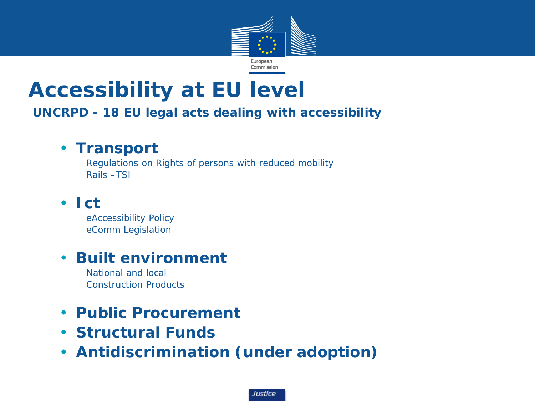

### **Accessibility at EU level**

#### **UNCRPD - 18 EU legal acts dealing with accessibility**

#### • **Transport**

Regulations on Rights of persons with reduced mobility Rails –TSI

#### • **Ict**

eAccessibility Policy eComm Legislation

#### • **Built environment**

National and local Construction Products

#### • **Public Procurement**

- **Structural Funds**
- **Antidiscrimination (under adoption)**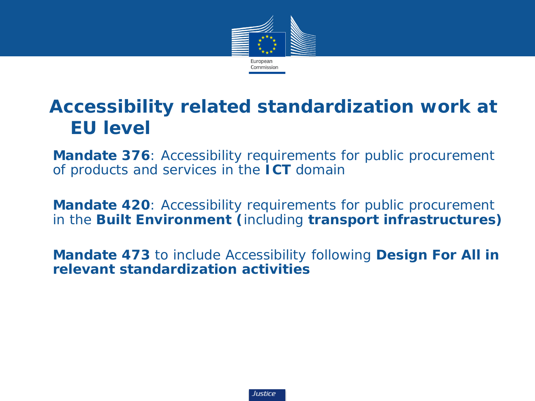

#### **Accessibility related standardization work at EU level**

• *Mandate 376: Accessibility requirements for public procurement of products and services in the ICT domain*

• *Mandate 420: Accessibility requirements for public procurement in the Built Environment (including transport infrastructures)*

• *Mandate 473 to include Accessibility following Design For All in relevant standardization activities*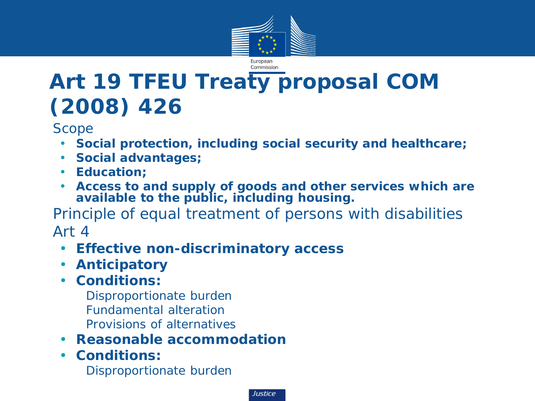

## **Art 19 TFEU Treaty proposal COM (2008) 426**

• *Scope*

- **Social protection, including social security and healthcare;**
- **Social advantages;**
- **Education;**
- **Access to and supply of goods and other services which are available to the public, including housing.**

• *Principle of equal treatment of persons with disabilities* • *Art 4*

- **Effective non-discriminatory access**
- **Anticipatory**
- **Conditions:**
	- Disproportionate burden
	- Fundamental alteration
	- Provisions of alternatives
- **Reasonable accommodation**
- **Conditions:** Disproportionate burden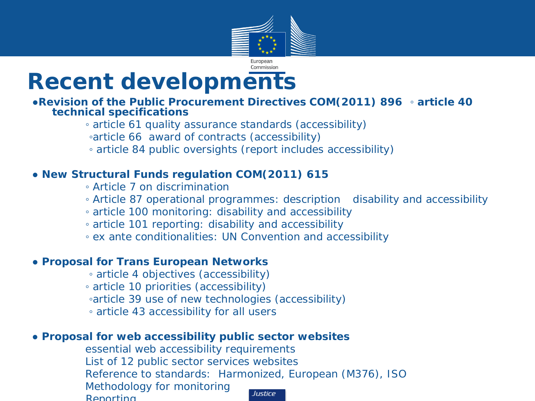

### **Recent developments**

#### **●Revision of the Public Procurement Directives COM(2011) 896 ◦ article 40 technical specifications**

*◦ article 61 quality assurance standards (accessibility)*

- *◦article 66 award of contracts (accessibility)*
- *◦ article 84 public oversights (report includes accessibility)*

#### **● New Structural Funds regulation COM(2011) 615**

- *◦ Article 7 on discrimination*
- *◦ Article 87 operational programmes: description disability and accessibility*
- *◦ article 100 monitoring: disability and accessibility*
- *◦ article 101 reporting: disability and accessibility*
- *◦ ex ante conditionalities: UN Convention and accessibility*

#### **● Proposal for Trans European Networks**

- *◦ article 4 objectives (accessibility)*
- *◦ article 10 priorities (accessibility)*
- *◦article 39 use of new technologies (accessibility)*
- *◦ article 43 accessibility for all users*

#### **● Proposal for web accessibility public sector websites**

*essential web accessibility requirements List of 12 public sector services websites Reference to standards: Harmonized, European (M376), ISO Methodology for monitoring* Justice *Reporting*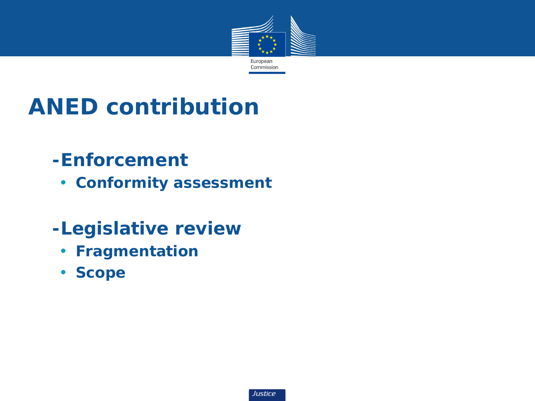

# **ANED contribution**

#### • *-Enforcement*

• **Conformity assessment**

#### • *-Legislative review*

- **Fragmentation**
- **Scope**